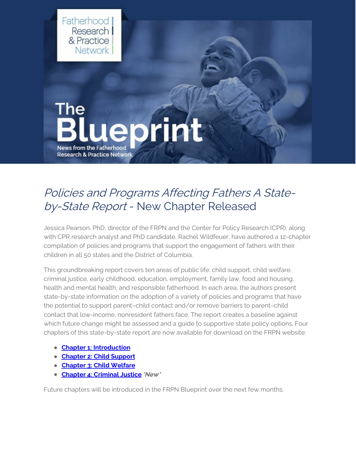

## Policies and Programs Affecting Fathers A Stateby-State Report - New Chapter Released

Jessica Pearson, PhD, director of the FRPN and the Center for Policy Research (CPR), along with CPR research analyst and PhD candidate, Rachel Wildfeuer, have authored a 12-chapter compilation of policies and programs that support the engagement of fathers with their children in all 50 states and the District of Columbia.

This groundbreaking report covers ten areas of public life: child support, child welfare, criminal justice, early childhood, education, employment, family law, food and housing, health and mental health, and responsible fatherhood. In each area, the authors present state-by-state information on the adoption of a variety of policies and programs that have the potential to support parent–child contact and/or remove barriers to parent–child contact that low-income, nonresident fathers face. The report creates a baseline against which future change might be assessed and a guide to supportive state policy options. Four chapters of this state-by-state report are now available for download on the FRPN website:

- **Chapter 1: [Introduction](https://www.frpn.org/asset/policies-and-programs-affecting-fathers-state-state-report-introduction)**
- **[Chapter](https://www.frpn.org/asset/policies-and-programs-affecting-fathers-state-state-report-chapter-2-child-support) 2: Child Support**
- **[Chapter](https://www.frpn.org/asset/policies-and-programs-affecting-fathers-state-state-report-chapter-3-child-welfare) 3: Child Welfare**
- **Chapter 4: [Criminal](https://www.frpn.org/asset/policies-and-programs-affecting-fathers-state-state-report-chapter-4-criminal-justice) Justice\*New\***

Future chapters will be introduced in the FRPN Blueprint over the next few months.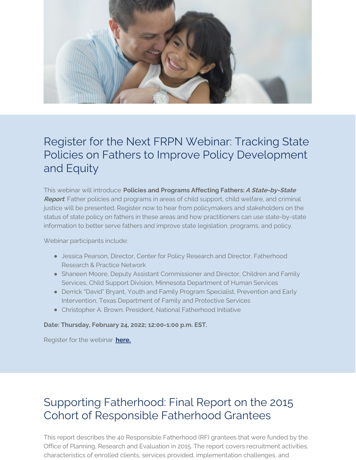

## Register for the Next FRPN Webinar: Tracking State Policies on Fathers to Improve Policy Development and Equity

This webinar will introduce **Policies and Programs Affecting Fathers:A State-by-State Report**. Father policies and programs in areas of child support, child welfare, and criminal justice will be presented. Register now to hear from policymakers and stakeholders on the status of state policy on fathers in these areas and how practitioners can use state-by-state information to better serve fathers and improve state legislation, programs, and policy.

Webinar participants include:

- Jessica Pearson, Director, Center for Policy Research and Director, Fatherhood Research & Practice Network
- Shaneen Moore, Deputy Assistant Commissioner and Director, Children and Family Services, Child Support Division, Minnesota Department of Human Services
- Derrick "David" Bryant, Youth and Family Program Specialist, Prevention and Early Intervention, Texas Department of Family and Protective Services
- Christopher A. Brown, President, National Fatherhood Initiative

**Date: Thursday, February 24, 2022; 12:00-1:00 p.m. EST.**

Register for the webinar **[here.](https://www.eventbrite.com/e/tracking-state-policies-on-fathers-to-improve-policy-development-and-equity-tickets-247235346577)**

# Supporting Fatherhood: Final Report on the 2015 Cohort of Responsible Fatherhood Grantees

This report describes the 40 Responsible Fatherhood (RF) grantees that were funded by the Office of Planning, Research and Evaluation in 2015. The report covers recruitment activities, characteristics of enrolled clients, services provided, implementation challenges, and